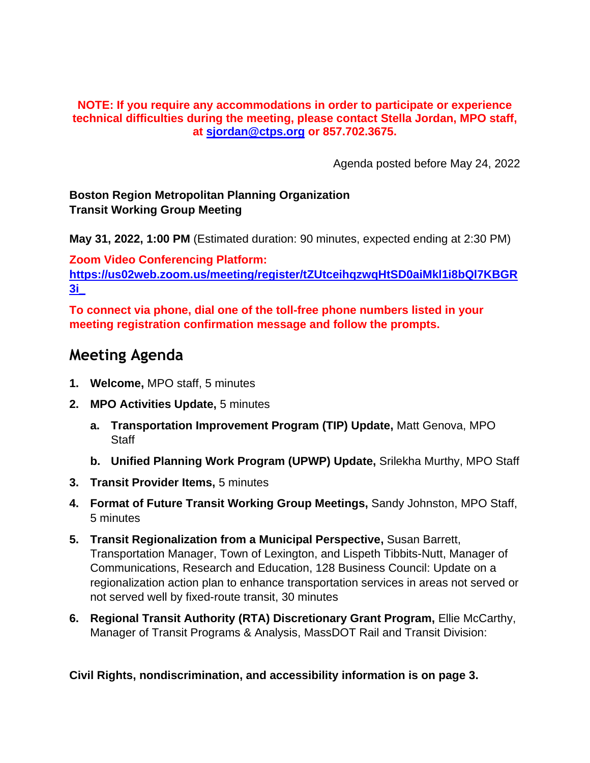#### **NOTE: If you require any accommodations in order to participate or experience technical difficulties during the meeting, please contact Stella Jordan, MPO staff, at [sjordan@ctps.org](mailto:sjordan@ctps.org) or 857.702.3675.**

Agenda posted before May 24, 2022

### **Boston Region Metropolitan Planning Organization Transit Working Group Meeting**

**May 31, 2022, 1:00 PM** (Estimated duration: 90 minutes, expected ending at 2:30 PM)

**Zoom Video Conferencing Platform: [https://us02web.zoom.us/meeting/register/tZUtceihqzwqHtSD0aiMkl1i8bQl7KBGR](https://us02web.zoom.us/meeting/register/tZUtceihqzwqHtSD0aiMkl1i8bQl7KBGR3i_) [3i\\_](https://us02web.zoom.us/meeting/register/tZUtceihqzwqHtSD0aiMkl1i8bQl7KBGR3i_)**

**To connect via phone, dial one of the toll-free phone numbers listed in your meeting registration confirmation message and follow the prompts.**

# **Meeting Agenda**

- **1. Welcome,** MPO staff, 5 minutes
- **2. MPO Activities Update,** 5 minutes
	- **a. Transportation Improvement Program (TIP) Update,** Matt Genova, MPO **Staff**
	- **b. Unified Planning Work Program (UPWP) Update,** Srilekha Murthy, MPO Staff
- **3. Transit Provider Items,** 5 minutes
- **4. Format of Future Transit Working Group Meetings,** Sandy Johnston, MPO Staff, 5 minutes
- **5. Transit Regionalization from a Municipal Perspective,** Susan Barrett, Transportation Manager, Town of Lexington, and Lispeth Tibbits-Nutt, Manager of Communications, Research and Education, 128 Business Council: Update on a regionalization action plan to enhance transportation services in areas not served or not served well by fixed-route transit, 30 minutes
- **6. Regional Transit Authority (RTA) Discretionary Grant Program,** Ellie McCarthy, Manager of Transit Programs & Analysis, MassDOT Rail and Transit Division:

**Civil Rights, nondiscrimination, and accessibility information is on page 3.**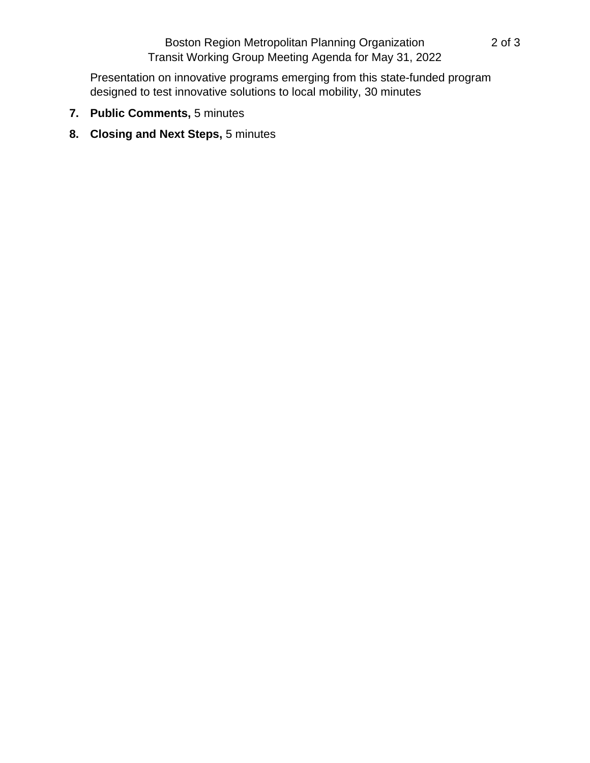## Boston Region Metropolitan Planning Organization 2 of 3 Transit Working Group Meeting Agenda for May 31, 2022

Presentation on innovative programs emerging from this state-funded program designed to test innovative solutions to local mobility, 30 minutes

- **7. Public Comments,** 5 minutes
- **8. Closing and Next Steps,** 5 minutes